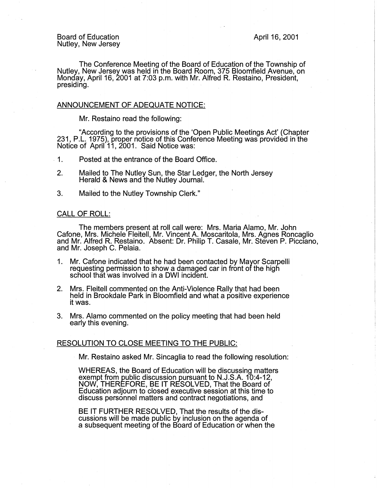The Conference Meeting of the Board of Education of the Township of Nutley, New Jersey was held in the Board Room, 375 Bloomfield Avenue, on Monday, April 16, 2001 at 7:03 p.m. with Mr. Alfred R. Restaino, President, presiding.

## ANNOUNCEMENT OF ADEQUATE NOTICE:

Mr. Restaino read the following:

. "According to the provisions of the 'Open Public Meetings Act' (Chapter 231, P.L. 1975), proper notice of this Conference Meeting was provided in the Notice of April 11, 2001. Said Notice was:

- . 1. Posted at the entrance of the Board Office.
- 2. Mailed to The Nutley Sun, the Star Ledger, the North Jersey Herald & News and the Nutley Journal.
- 3. Mailed to the Nutley Township Clerk."

## CALL OF ROLL:

The members present at roll call were: Mrs. Maria Alamo, Mr. John Cafone, Mrs. Michele Fleitell, Mr. Vincent A. Moscaritola, Mrs. Agnes Roncaglio and Mr. Alfred R. Restaino. Absent: Dr. Philip T. Casale, Mr. Steven P. Picciano, and Mr. Joseph C. Pelaia.

- 1. Mr. Cafone indicated that he had been contacted by Mayor Scarpelli requesting permission to show a damaged car in front of the high school that was involved in a DWI incident.
- 2. Mrs. Fleitell commented on the Anti-Violence Rally that had been held in Brookdale Park in Bloomfield and what a positive experience it was.
- 3. Mrs. Alamo commented on the policy meeting that had been held early this evening.

## RESOLUTION TO CLOSE MEETING TO THE PUBLIC:

Mr. Restaino asked Mr. Sincaglia to read the following resolution:

WHEREAS, the Board of Education will be discussing matters exempt from public discussion pursuant to N.J.S.A. 10:4-12, NOW, THEREFORE, BE IT RESOLVED, That the Board of Education adjourn to closed executive session at this time to discuss personnel matters and contract negotiations, and

BE IT FURTHER RESOLVED, That the results of the discussions will be made public by inclusion on the agenda of a subsequent meeting of the Board of Education or when the